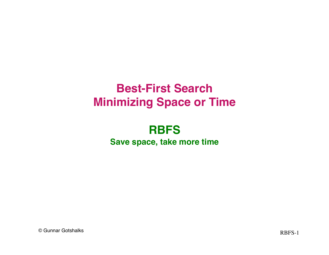# **Best-First Search Minimizing Space or Time**

#### **RBFS Save space, take more time**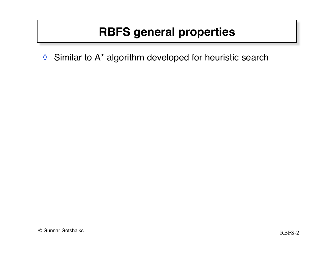◊ Similar to A\* algorithm developed for heuristic search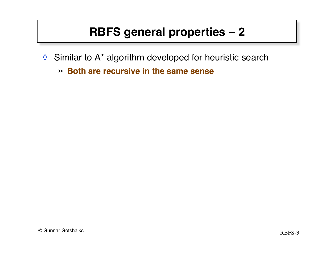- ◊ Similar to A\* algorithm developed for heuristic search
	- » **Both are recursive in the same sense**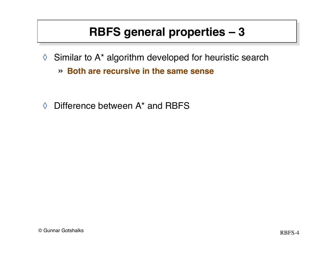- ◊ Similar to A\* algorithm developed for heuristic search
	- » **Both are recursive in the same sense**
- $\Diamond$  Difference between A<sup>\*</sup> and RBFS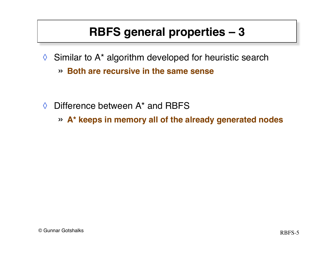- ◊ Similar to A\* algorithm developed for heuristic search
	- » **Both are recursive in the same sense**
- $\Diamond$  Difference between A<sup>\*</sup> and RBFS
	- » **A\* keeps in memory all of the already generated nodes**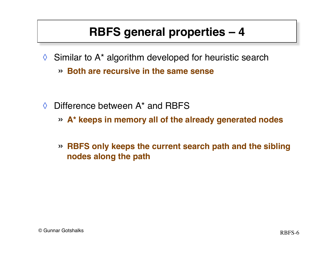- ◊ Similar to A\* algorithm developed for heuristic search
	- » **Both are recursive in the same sense**
- $\Diamond$  Difference between A<sup>\*</sup> and RBFS
	- » **A\* keeps in memory all of the already generated nodes**
	- » **RBFS only keeps the current search path and the sibling nodes along the path**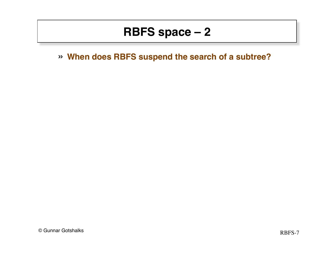» **When does RBFS suspend the search of a subtree?**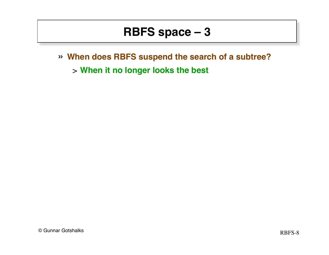- » **When does RBFS suspend the search of a subtree?** 
	- > **When it no longer looks the best**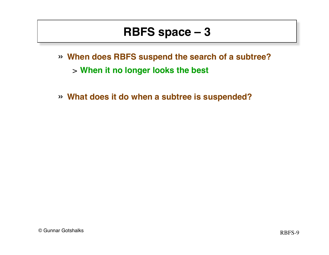- » **When does RBFS suspend the search of a subtree?** 
	- > **When it no longer looks the best**
- » **What does it do when a subtree is suspended?**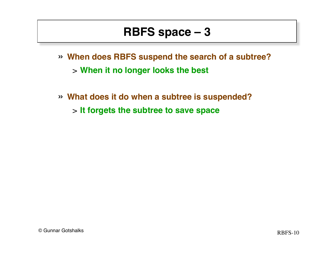- » **When does RBFS suspend the search of a subtree?** 
	- > **When it no longer looks the best**
- » **What does it do when a subtree is suspended?**
	- > **It forgets the subtree to save space**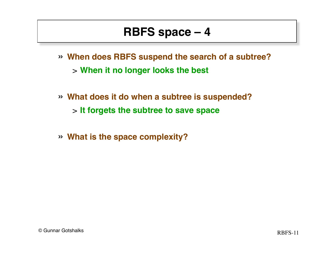- » **When does RBFS suspend the search of a subtree?** 
	- > **When it no longer looks the best**
- » **What does it do when a subtree is suspended?** > **It forgets the subtree to save space**
- » **What is the space complexity?**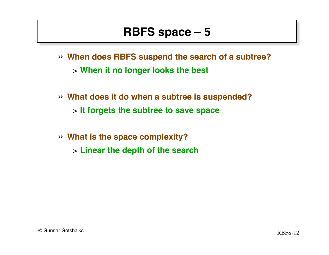- » **When does RBFS suspend the search of a subtree?** 
	- > **When it no longer looks the best**
- » **What does it do when a subtree is suspended?** > **It forgets the subtree to save space**
- » **What is the space complexity?** > **Linear the depth of the search**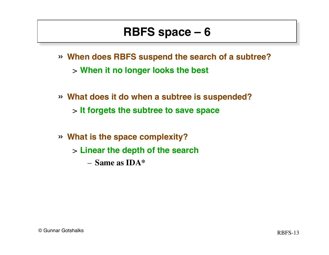- » **When does RBFS suspend the search of a subtree?** 
	- > **When it no longer looks the best**
- » **What does it do when a subtree is suspended?** > **It forgets the subtree to save space**
- » **What is the space complexity?** > **Linear the depth of the search** – **Same as IDA\***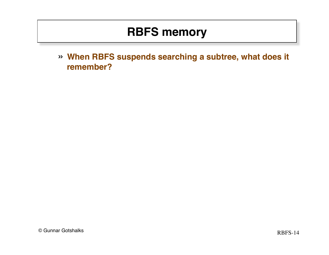## **RBFS memory**

» **When RBFS suspends searching a subtree, what does it remember?**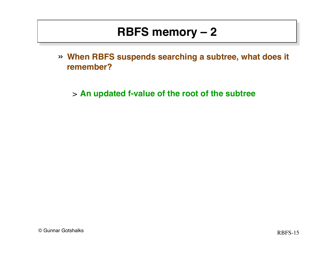## **RBFS memory – 2**

» **When RBFS suspends searching a subtree, what does it remember?**

> **An updated f-value of the root of the subtree**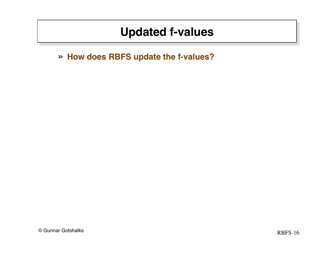## **Updated f-values**

» **How does RBFS update the f-values?**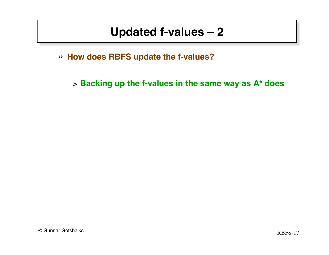#### **Updated f-values – 2**

» **How does RBFS update the f-values?**

> **Backing up the f-values in the same way as A\* does**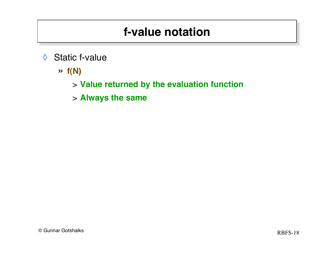## **f-value notation**

- ◊ Static f-value
	- » **f(N)**

> **Value returned by the evaluation function**

> **Always the same**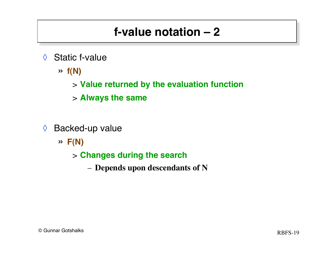# **f-value notation – 2**

- ◊ Static f-value
	- » **f(N)**
		- > **Value returned by the evaluation function**
		- > **Always the same**
- ◊ Backed-up value
	- » **F(N)**
		- > **Changes during the search**
			- **Depends upon descendants of N**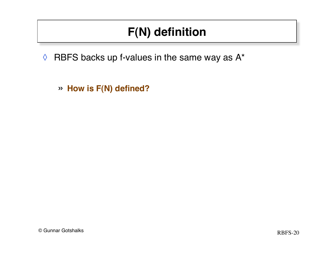- $\Diamond$  RBFS backs up f-values in the same way as A\*
	- » **How is F(N) defined?**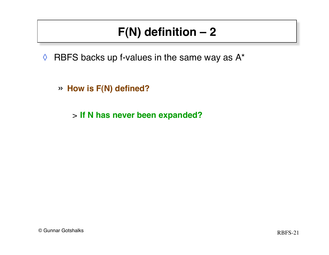$\Diamond$  RBFS backs up f-values in the same way as A\*

» **How is F(N) defined?**

> **If N has never been expanded?**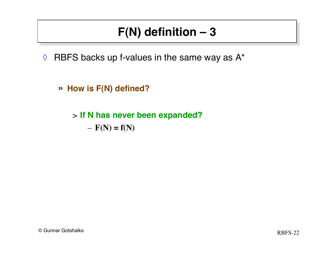$\Diamond$  RBFS backs up f-values in the same way as A\*

» **How is F(N) defined?**

> **If N has never been expanded?**  $- F(N) = f(N)$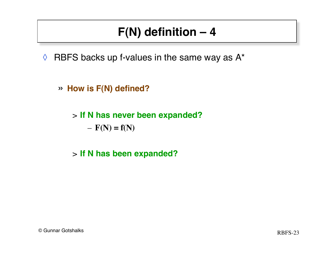- $\Diamond$  RBFS backs up f-values in the same way as A\*
	- » **How is F(N) defined?**
		- > **If N has never been expanded?**  $- F(N) = f(N)$
		- > **If N has been expanded?**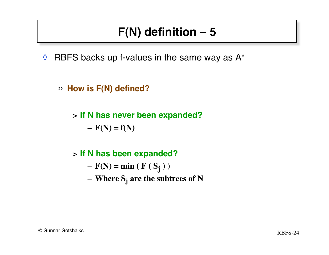- $\Diamond$  RBFS backs up f-values in the same way as A\*
	- » **How is F(N) defined?**
		- > **If N has never been expanded?**  $- F(N) = f(N)$

#### > **If N has been expanded?**

- $F(N) = min ( F ( S<sub>j</sub> ) )$
- **Where Sj are the subtrees of N**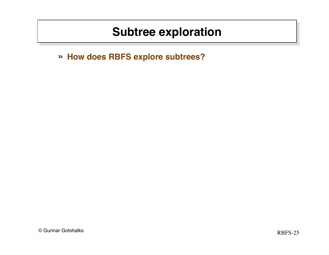» **How does RBFS explore subtrees?**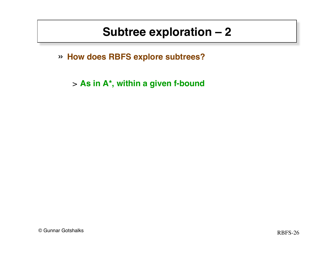» **How does RBFS explore subtrees?**

> **As in A\*, within a given f-bound**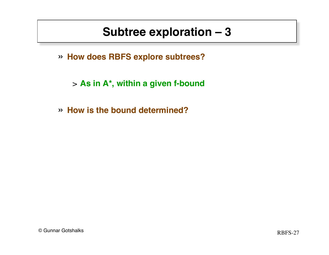» **How does RBFS explore subtrees?**

> **As in A\*, within a given f-bound**

» **How is the bound determined?**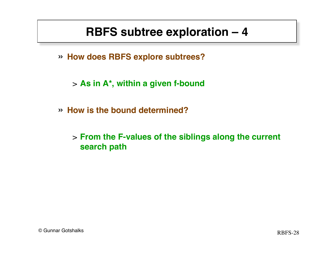## **RBFS subtree exploration – 4**

» **How does RBFS explore subtrees?**

> **As in A\*, within a given f-bound**

- » **How is the bound determined?**
	- > **From the F-values of the siblings along the current search path**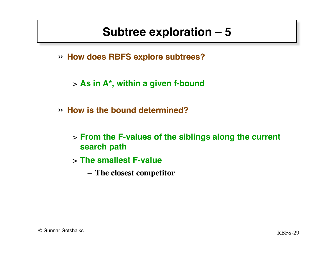- » **How does RBFS explore subtrees?**
	- > **As in A\*, within a given f-bound**
- » **How is the bound determined?**
	- > **From the F-values of the siblings along the current search path**
	- > **The smallest F-value**
		- **The closest competitor**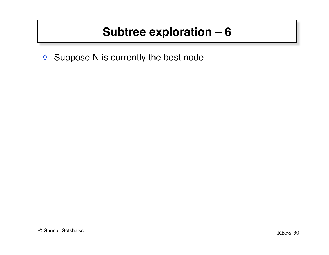◊ Suppose N is currently the best node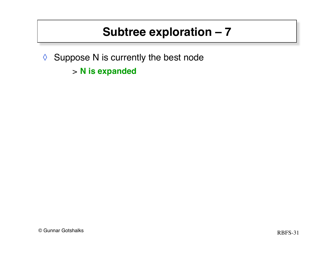- ◊ Suppose N is currently the best node
	- > **N is expanded**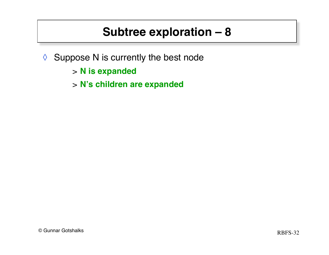- ◊ Suppose N is currently the best node
	- > **N is expanded**
	- > **N's children are expanded**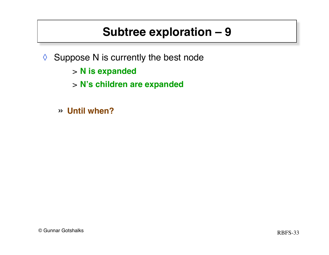- ◊ Suppose N is currently the best node
	- > **N is expanded**
	- > **N's children are expanded**
	- » **Until when?**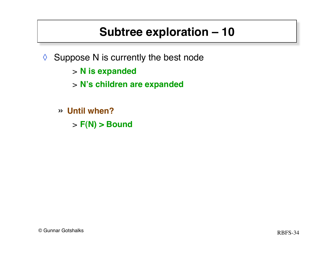- ◊ Suppose N is currently the best node
	- > **N is expanded**
	- > **N's children are expanded**
	- » **Until when?**
		- > **F(N) > Bound**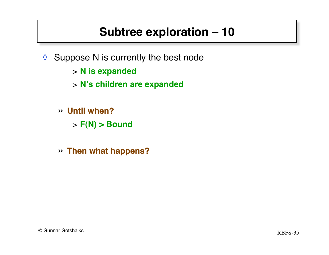- ◊ Suppose N is currently the best node
	- > **N is expanded**
	- > **N's children are expanded**
	- » **Until when?**
		- > **F(N) > Bound**
	- » **Then what happens?**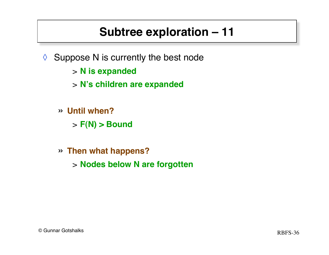- ◊ Suppose N is currently the best node
	- > **N is expanded**
	- > **N's children are expanded**
	- » **Until when?**
		- > **F(N) > Bound**
	- » **Then what happens?**
		- > **Nodes below N are forgotten**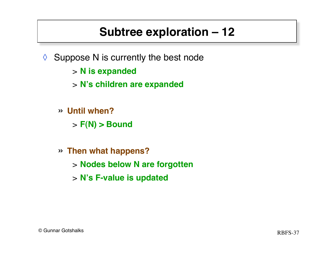- $\Diamond$  Suppose N is currently the best node
	- > **N is expanded**
	- > **N's children are expanded**
	- » **Until when?**
		- > **F(N) > Bound**
	- » **Then what happens?**
		- > **Nodes below N are forgotten**
		- > **N's F-value is updated**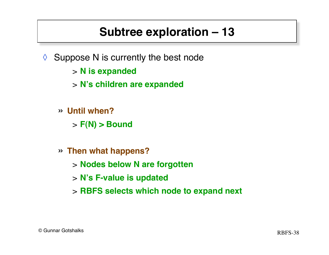- ◊ Suppose N is currently the best node
	- > **N is expanded**
	- > **N's children are expanded**
	- » **Until when?**
		- > **F(N) > Bound**
	- » **Then what happens?**
		- > **Nodes below N are forgotten**
		- > **N's F-value is updated**
		- > **RBFS selects which node to expand next**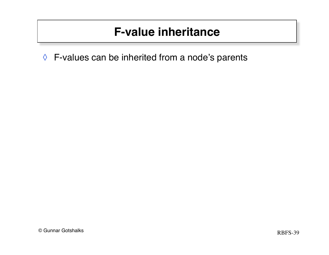◊ F-values can be inherited from a node's parents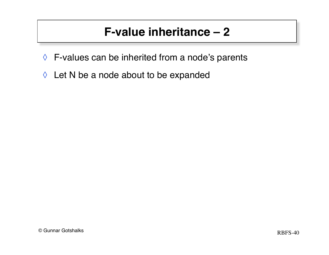- ◊ F-values can be inherited from a node's parents
- ◊ Let N be a node about to be expanded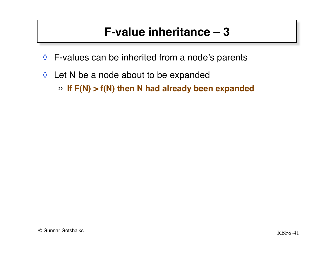- $\Diamond$  F-values can be inherited from a node's parents
- ◊ Let N be a node about to be expanded » **If F(N) > f(N) then N had already been expanded**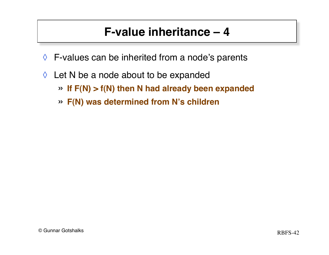- $\Diamond$  F-values can be inherited from a node's parents
- $\Diamond$  Let N be a node about to be expanded
	- » **If F(N) > f(N) then N had already been expanded**
	- » **F(N) was determined from N's children**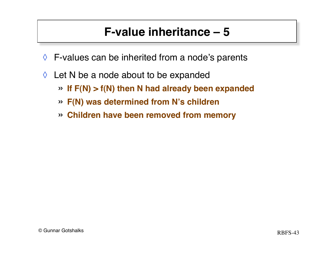- $\Diamond$  F-values can be inherited from a node's parents
- $\Diamond$  Let N be a node about to be expanded
	- » **If F(N) > f(N) then N had already been expanded**
	- » **F(N) was determined from N's children**
	- » **Children have been removed from memory**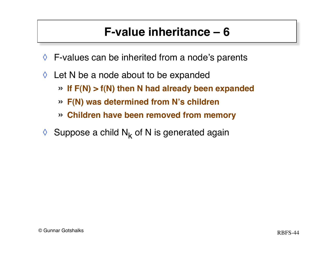- $\Diamond$  F-values can be inherited from a node's parents
- $\Diamond$  Let N be a node about to be expanded
	- » **If F(N) > f(N) then N had already been expanded**
	- » **F(N) was determined from N's children**
	- » **Children have been removed from memory**
- $\Diamond$  Suppose a child N<sub>k</sub> of N is generated again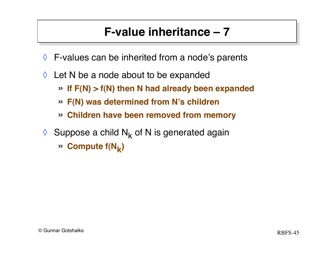- $\Diamond$  F-values can be inherited from a node's parents
- $\Diamond$  Let N be a node about to be expanded
	- » **If F(N) > f(N) then N had already been expanded**
	- » **F(N) was determined from N's children**
	- » **Children have been removed from memory**
- $\Diamond$  Suppose a child N<sub>k</sub> of N is generated again
	- $\gg$  **Compute f(N<sub>k</sub>)**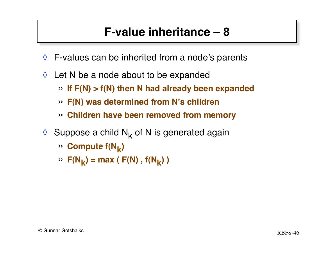- ◊ F-values can be inherited from a node's parents
- ◊ Let N be a node about to be expanded
	- » **If F(N) > f(N) then N had already been expanded**
	- » **F(N) was determined from N's children**
	- » **Children have been removed from memory**
- $\Diamond$  Suppose a child N<sub>k</sub> of N is generated again
	- $\gg$  **Compute f(N<sub>k</sub>)**
	- $\mathcal{P}$  **F(N<sub>k</sub>) = max ( F(N)**,  $f(N_k)$ )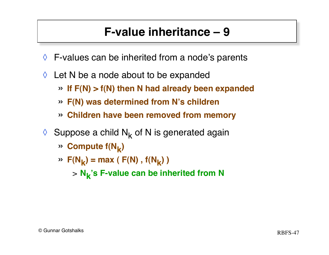- $\Diamond$  F-values can be inherited from a node's parents
- $\Diamond$  Let N be a node about to be expanded
	- » **If F(N) > f(N) then N had already been expanded**
	- » **F(N) was determined from N's children**
	- » **Children have been removed from memory**
- $\Diamond$  Suppose a child N<sub>k</sub> of N is generated again
	- » **Compute f(Nk)**
	- $\mathcal{P}$  **F(N<sub>k</sub>) = max ( F(N)**,  $f(N_k)$  )
		- <sup>&</sup>gt; **Nk 's F-value can be inherited from N**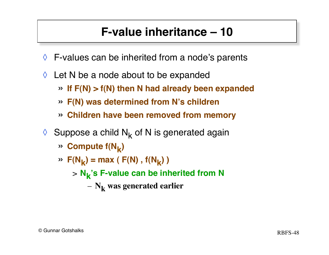- $\Diamond$  F-values can be inherited from a node's parents
- $\Diamond$  Let N be a node about to be expanded
	- » **If F(N) > f(N) then N had already been expanded**
	- » **F(N) was determined from N's children**
	- » **Children have been removed from memory**
- $\Diamond$  Suppose a child N<sub>k</sub> of N is generated again
	- » **Compute f(Nk)**
	- $\mathcal{P}$  **F(N<sub>k</sub>) = max ( F(N)**,  $f(N_k)$  )
		- <sup>&</sup>gt; **Nk 's F-value can be inherited from N**
			- $N_k$  was generated earlier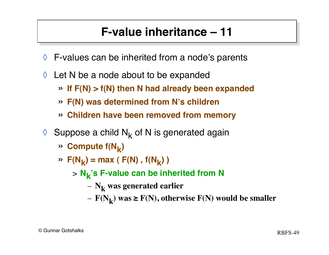- $\Diamond$  F-values can be inherited from a node's parents
- $\Diamond$  Let N be a node about to be expanded
	- » **If F(N) > f(N) then N had already been expanded**
	- » **F(N) was determined from N's children**
	- » **Children have been removed from memory**
- $\Diamond$  Suppose a child N<sub>k</sub> of N is generated again
	- » **Compute f(Nk)**
	- $\mathcal{P}$  **F(N<sub>k</sub>) = max ( F(N)**,  $f(N_k)$  )
		- <sup>&</sup>gt; **Nk 's F-value can be inherited from N**
			- $N_k$  was generated earlier
			- $-$  **F(N<sub>k</sub>) was ≥ F(N), otherwise F(N) would be smaller**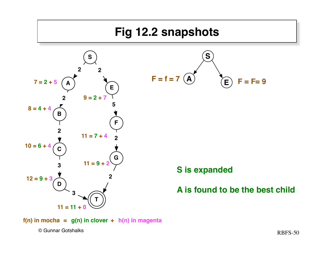

**f(n) in mocha = g(n) in clover + h(n) in magenta**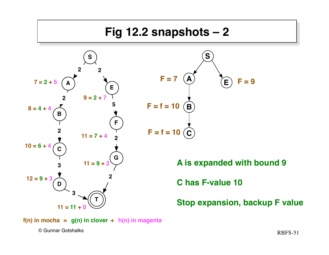

**f(n) in mocha** =  $g(n)$  in clover +  $h(n)$  in magenta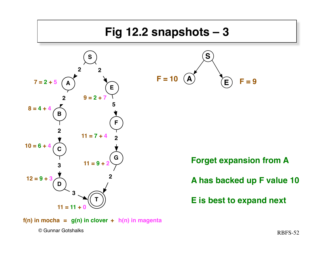## **Fig 12.2 snapshots – 3**





**Forget expansion from A**

**A has backed up F value 10**

**E is best to expand next**

**f(n) in mocha** =  $g(n)$  in clover +  $h(n)$  in magenta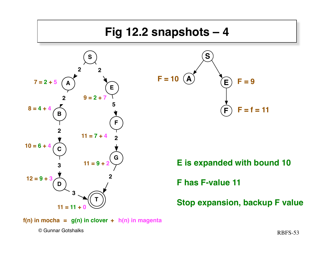

**f(n) in mocha** =  $g(n)$  in clover +  $h(n)$  in magenta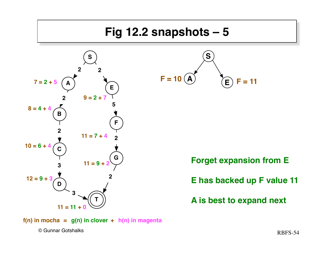## **Fig 12.2 snapshots – 5**





**Forget expansion from E**

**E has backed up F value 11**

**A is best to expand next**

**f(n) in mocha** =  $g(n)$  in clover +  $h(n)$  in magenta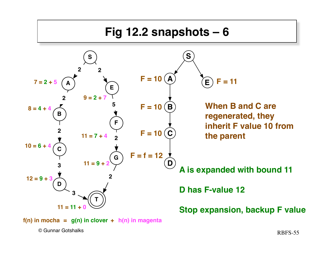

 $f(n)$  in mocha =  $g(n)$  in clover +  $h(n)$  in magenta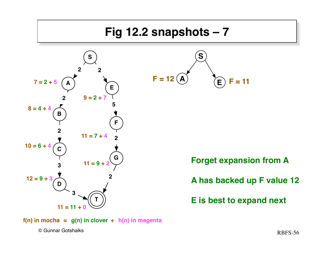## **Fig 12.2 snapshots – 7**





**Forget expansion from A**

**A has backed up F value 12**

**E is best to expand next**

**f(n) in mocha** =  $g(n)$  in clover +  $h(n)$  in magenta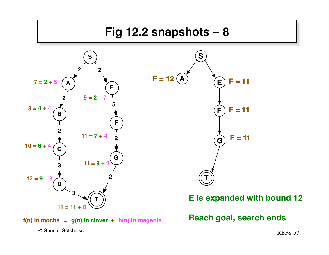

**f(n) in mocha <sup>=</sup> g(n) in clover <sup>+</sup> h(n) in magenta Reach goal, search ends**